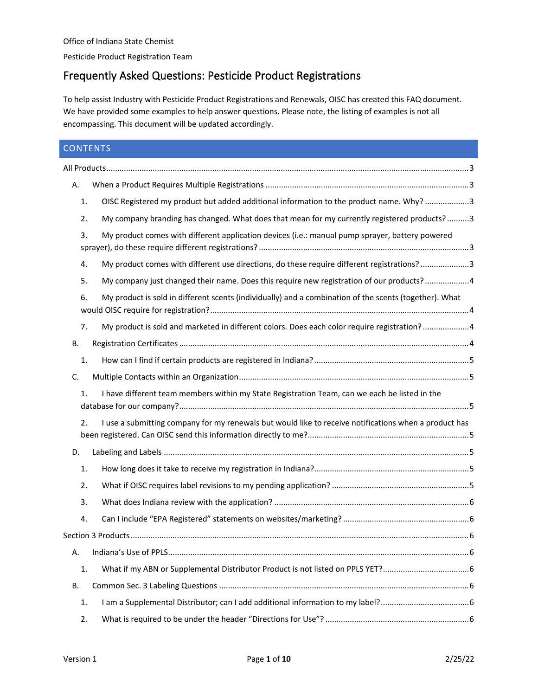Pesticide Product Registration Team

# Frequently Asked Questions: Pesticide Product Registrations

To help assist Industry with Pesticide Product Registrations and Renewals, OISC has created this FAQ document. We have provided some examples to help answer questions. Please note, the listing of examples is not all encompassing. This document will be updated accordingly.

| <b>CONTENTS</b> |    |                                                                                                        |  |
|-----------------|----|--------------------------------------------------------------------------------------------------------|--|
|                 |    |                                                                                                        |  |
| А.              |    |                                                                                                        |  |
|                 | 1. | OISC Registered my product but added additional information to the product name. Why? 3                |  |
|                 | 2. | My company branding has changed. What does that mean for my currently registered products?3            |  |
|                 | 3. | My product comes with different application devices (i.e.: manual pump sprayer, battery powered        |  |
|                 | 4. | My product comes with different use directions, do these require different registrations?3             |  |
|                 | 5. | My company just changed their name. Does this require new registration of our products? 4              |  |
|                 | 6. | My product is sold in different scents (individually) and a combination of the scents (together). What |  |
|                 | 7. | My product is sold and marketed in different colors. Does each color require registration?4            |  |
| В.              |    |                                                                                                        |  |
|                 | 1. |                                                                                                        |  |
| C.              |    |                                                                                                        |  |
|                 | 1. | I have different team members within my State Registration Team, can we each be listed in the          |  |
|                 | 2. | I use a submitting company for my renewals but would like to receive notifications when a product has  |  |
| D.              |    |                                                                                                        |  |
|                 | 1. |                                                                                                        |  |
|                 | 2. |                                                                                                        |  |
|                 | 3. |                                                                                                        |  |
|                 | 4. |                                                                                                        |  |
|                 |    |                                                                                                        |  |
| А.              |    |                                                                                                        |  |
|                 | 1. |                                                                                                        |  |
| В.              |    |                                                                                                        |  |
|                 | 1. |                                                                                                        |  |
|                 | 2. |                                                                                                        |  |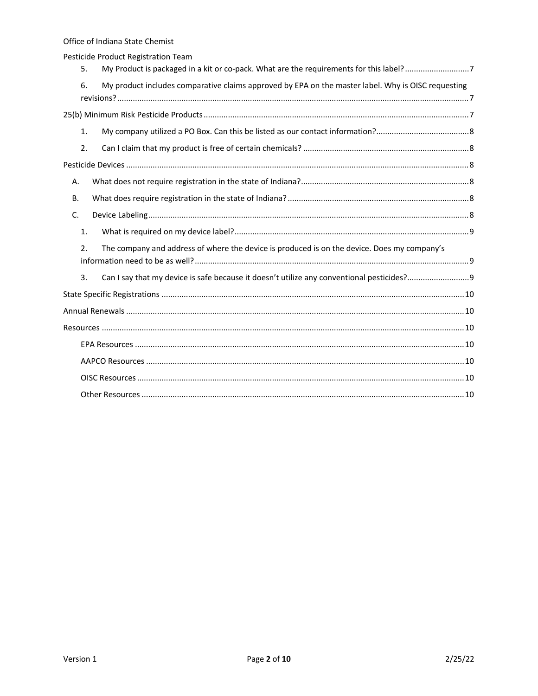Pesticide Product Registration Team My Product is packaged in a kit or co-pack. What are the requirements for this label?.........................7 5. 6. My product includes comparative claims approved by EPA on the master label. Why is OISC requesting  $1.$  $2.$  $A_{1}$  $B<sub>1</sub>$  $C_{1}$  $1.$  $2.$ The company and address of where the device is produced is on the device. Does my company's  $\overline{3}$ .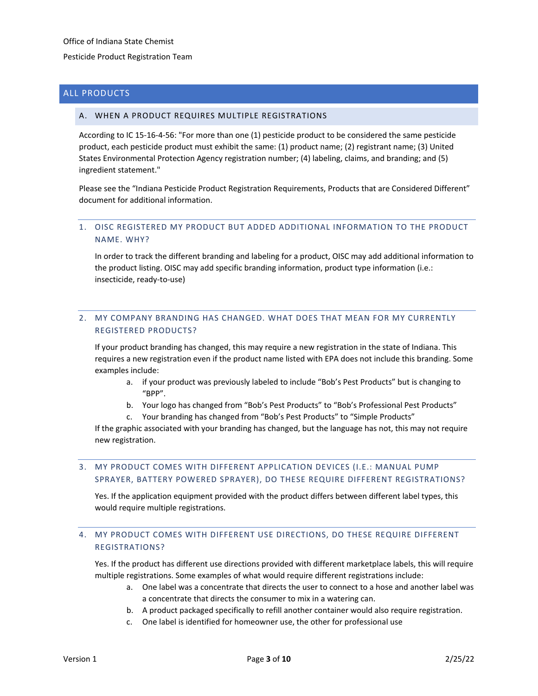#### Pesticide Product Registration Team

### <span id="page-2-1"></span><span id="page-2-0"></span>ALL PRODUCTS

### A. WHEN A PRODUCT REQUIRES MULTIPLE REGISTRATIONS

According to IC 15-16-4-56: "For more than one (1) pesticide product to be considered the same pesticide product, each pesticide product must exhibit the same: (1) product name; (2) registrant name; (3) United States Environmental Protection Agency registration number; (4) labeling, claims, and branding; and (5) ingredient statement."

Please see the "Indiana Pesticide Product Registration Requirements, Products that are Considered Different" document for additional information.

# <span id="page-2-2"></span>1. OISC REGISTERED MY PRODUCT BUT ADDED ADDITIONAL INFORMATION TO THE PRODUCT NAME. WHY?

In order to track the different branding and labeling for a product, OISC may add additional information to the product listing. OISC may add specific branding information, product type information (i.e.: insecticide, ready-to-use)

# <span id="page-2-3"></span>2. MY COMPANY BRANDING HAS CHANGED. WHAT DOES THAT MEAN FOR MY CURRENTLY REGISTERED PRODUCTS?

If your product branding has changed, this may require a new registration in the state of Indiana. This requires a new registration even if the product name listed with EPA does not include this branding. Some examples include:

- a. if your product was previously labeled to include "Bob's Pest Products" but is changing to "BPP".
- b. Your logo has changed from "Bob's Pest Products" to "Bob's Professional Pest Products"
- c. Your branding has changed from "Bob's Pest Products" to "Simple Products"

If the graphic associated with your branding has changed, but the language has not, this may not require new registration.

# <span id="page-2-4"></span>3. MY PRODUCT COMES WITH DIFFERENT APPLICATION DEVICES (I.E.: MANUAL PUMP SPRAYER, BATTERY POWERED SPRAYER), DO THESE REQUIRE DIFFERENT REGISTRATIONS?

Yes. If the application equipment provided with the product differs between different label types, this would require multiple registrations.

# <span id="page-2-5"></span>4. MY PRODUCT COMES WITH DIFFERENT USE DIRECTIONS, DO THESE REQUIRE DIFFERENT REGISTRATIONS?

Yes. If the product has different use directions provided with different marketplace labels, this will require multiple registrations. Some examples of what would require different registrations include:

- a. One label was a concentrate that directs the user to connect to a hose and another label was a concentrate that directs the consumer to mix in a watering can.
- b. A product packaged specifically to refill another container would also require registration.
- c. One label is identified for homeowner use, the other for professional use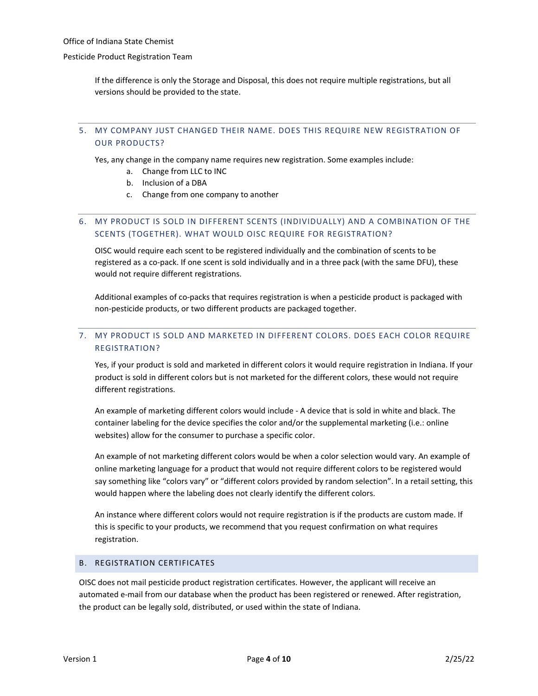Pesticide Product Registration Team

If the difference is only the Storage and Disposal, this does not require multiple registrations, but all versions should be provided to the state.

# <span id="page-3-0"></span>5. MY COMPANY JUST CHANGED THEIR NAME. DOES THIS REQUIRE NEW REGISTRATION OF OUR PRODUCTS?

Yes, any change in the company name requires new registration. Some examples include:

- a. Change from LLC to INC
- b. Inclusion of a DBA
- c. Change from one company to another

### <span id="page-3-1"></span>6. MY PRODUCT IS SOLD IN DIFFERENT SCENTS (INDIVIDUALLY) AND A COMBINATION OF THE SCENTS (TOGETHER). WHAT WOULD OISC REQUIRE FOR REGISTRATION?

OISC would require each scent to be registered individually and the combination of scents to be registered as a co-pack. If one scent is sold individually and in a three pack (with the same DFU), these would not require different registrations.

Additional examples of co-packs that requires registration is when a pesticide product is packaged with non-pesticide products, or two different products are packaged together.

# <span id="page-3-2"></span>7. MY PRODUCT IS SOLD AND MARKETED IN DIFFERENT COLORS. DOES EACH COLOR REQUIRE REGISTRATION?

Yes, if your product is sold and marketed in different colors it would require registration in Indiana. If your product is sold in different colors but is not marketed for the different colors, these would not require different registrations.

An example of marketing different colors would include - A device that is sold in white and black. The container labeling for the device specifies the color and/or the supplemental marketing (i.e.: online websites) allow for the consumer to purchase a specific color.

An example of not marketing different colors would be when a color selection would vary. An example of online marketing language for a product that would not require different colors to be registered would say something like "colors vary" or "different colors provided by random selection". In a retail setting, this would happen where the labeling does not clearly identify the different colors.

An instance where different colors would not require registration is if the products are custom made. If this is specific to your products, we recommend that you request confirmation on what requires registration.

### <span id="page-3-3"></span>B. REGISTRATION CERTIFICATES

OISC does not mail pesticide product registration certificates. However, the applicant will receive an automated e-mail from our database when the product has been registered or renewed. After registration, the product can be legally sold, distributed, or used within the state of Indiana.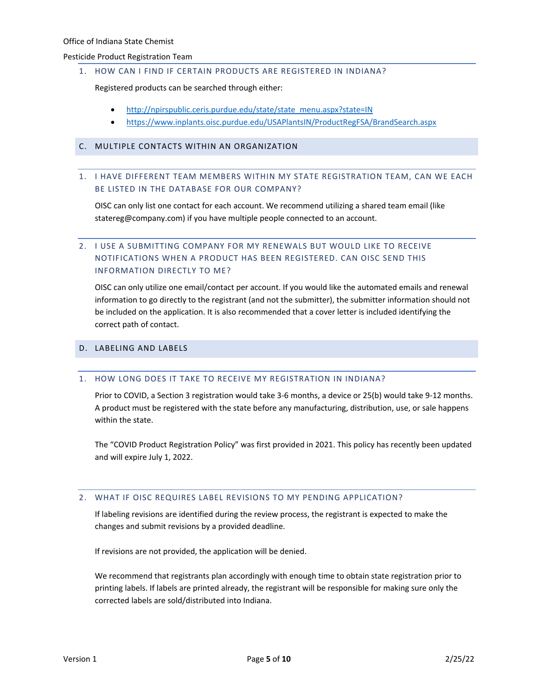<span id="page-4-0"></span>Pesticide Product Registration Team

1. HOW CAN I FIND IF CERTAIN PRODUCTS ARE REGISTERED IN INDIANA?

Registered products can be searched through either:

- [http://npirspublic.ceris.purdue.edu/state/state\\_menu.aspx?state=IN](http://npirspublic.ceris.purdue.edu/state/state_menu.aspx?state=IN)
- <https://www.inplants.oisc.purdue.edu/USAPlantsIN/ProductRegFSA/BrandSearch.aspx>

### <span id="page-4-2"></span><span id="page-4-1"></span>C. MULTIPLE CONTACTS WITHIN AN ORGANIZATION

# 1. I HAVE DIFFERENT TEAM MEMBERS WITHIN MY STATE REGISTRATION TEAM, CAN WE EACH BE LISTED IN THE DATABASE FOR OUR COMPANY?

OISC can only list one contact for each account. We recommend utilizing a shared team email (like statereg@company.com) if you have multiple people connected to an account.

# <span id="page-4-3"></span>2. I USE A SUBMITTING COMPANY FOR MY RENEWALS BUT WOULD LIKE TO RECEIVE NOTIFICATIONS WHEN A PRODUCT HAS BEEN REGISTERED. CAN OISC SEND THIS INFORMATION DIRECTLY TO ME?

OISC can only utilize one email/contact per account. If you would like the automated emails and renewal information to go directly to the registrant (and not the submitter), the submitter information should not be included on the application. It is also recommended that a cover letter is included identifying the correct path of contact.

### <span id="page-4-5"></span><span id="page-4-4"></span>D. LABELING AND LABELS

### 1. HOW LONG DOES IT TAKE TO RECEIVE MY REGISTRATION IN INDIANA?

Prior to COVID, a Section 3 registration would take 3-6 months, a device or 25(b) would take 9-12 months. A product must be registered with the state before any manufacturing, distribution, use, or sale happens within the state.

The "COVID Product Registration Policy" was first provided in 2021. This policy has recently been updated and will expire July 1, 2022.

### <span id="page-4-6"></span>2. WHAT IF OISC REQUIRES LABEL REVISIONS TO MY PENDING APPLICATION?

If labeling revisions are identified during the review process, the registrant is expected to make the changes and submit revisions by a provided deadline.

If revisions are not provided, the application will be denied.

We recommend that registrants plan accordingly with enough time to obtain state registration prior to printing labels. If labels are printed already, the registrant will be responsible for making sure only the corrected labels are sold/distributed into Indiana.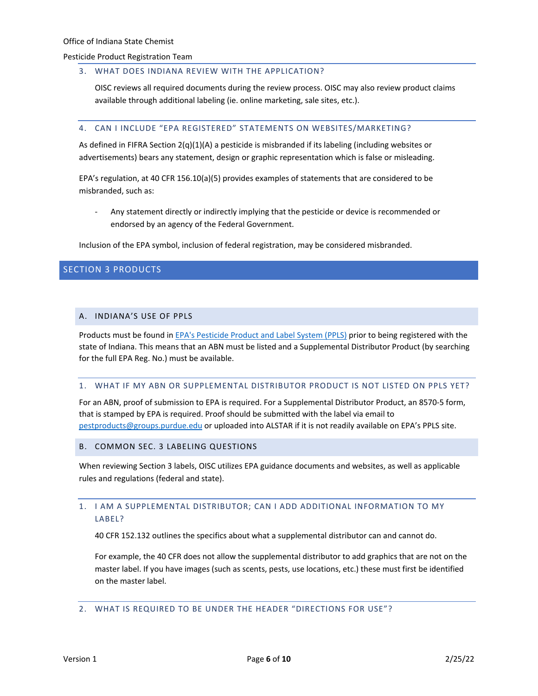<span id="page-5-0"></span>Pesticide Product Registration Team

#### 3. WHAT DOES INDIANA REVIEW WITH THE APPLICATION?

OISC reviews all required documents during the review process. OISC may also review product claims available through additional labeling (ie. online marketing, sale sites, etc.).

#### <span id="page-5-1"></span>4. CAN I INCLUDE "EPA REGISTERED" STATEMENTS ON WEBSITES/MARKETING?

As defined in FIFRA Section 2(q)(1)(A) a pesticide is misbranded if its labeling (including websites or advertisements) bears any statement, design or graphic representation which is false or misleading.

EPA's regulation, at 40 CFR 156.10(a)(5) provides examples of statements that are considered to be misbranded, such as:

Any statement directly or indirectly implying that the pesticide or device is recommended or endorsed by an agency of the Federal Government.

Inclusion of the EPA symbol, inclusion of federal registration, may be considered misbranded.

### <span id="page-5-2"></span>SECTION 3 PRODUCTS

### <span id="page-5-3"></span>A. INDIANA'S USE OF PPLS

Products must be found in [EPA's Pesticide Product and Label System \(PPLS\)](https://iaspub.epa.gov/apex/pesticides/f?p=PPLS:1) prior to being registered with the state of Indiana. This means that an ABN must be listed and a Supplemental Distributor Product (by searching for the full EPA Reg. No.) must be available.

#### <span id="page-5-4"></span>1. WHAT IF MY ABN OR SUPPLEMENTAL DISTRIBUTOR PRODUCT IS NOT LISTED ON PPLS YET?

For an ABN, proof of submission to EPA is required. For a Supplemental Distributor Product, an 8570-5 form, that is stamped by EPA is required. Proof should be submitted with the label via email to [pestproducts@groups.purdue.edu](mailto:pestproducts@groups.purdue.edu) or uploaded into ALSTAR if it is not readily available on EPA's PPLS site.

#### <span id="page-5-5"></span>B. COMMON SEC. 3 LABELING QUESTIONS

When reviewing Section 3 labels, OISC utilizes EPA guidance documents and websites, as well as applicable rules and regulations (federal and state).

### <span id="page-5-6"></span>1. I AM A SUPPLEMENTAL DISTRIBUTOR; CAN I ADD ADDITIONAL INFORMATION TO MY LABEL?

40 CFR 152.132 outlines the specifics about what a supplemental distributor can and cannot do.

For example, the 40 CFR does not allow the supplemental distributor to add graphics that are not on the master label. If you have images (such as scents, pests, use locations, etc.) these must first be identified on the master label.

<span id="page-5-7"></span>2. WHAT IS REQUIRED TO BE UNDER THE HEADER "DIRECTIONS FOR USE"?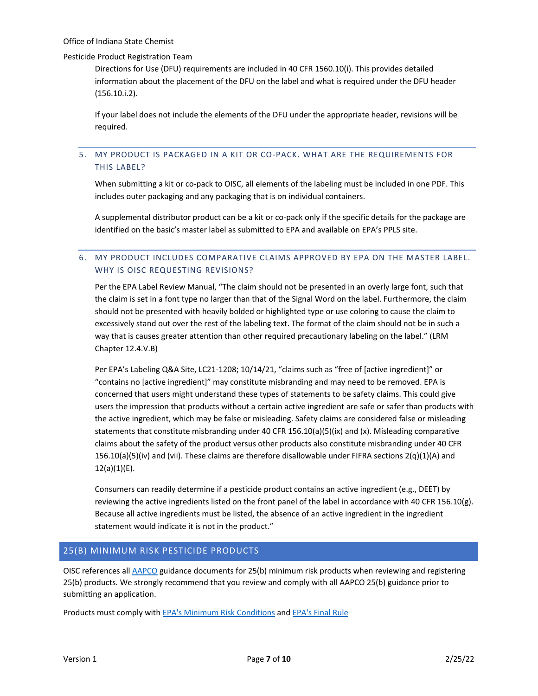#### Pesticide Product Registration Team

Directions for Use (DFU) requirements are included in 40 CFR 1560.10(i). This provides detailed information about the placement of the DFU on the label and what is required under the DFU header (156.10.i.2).

If your label does not include the elements of the DFU under the appropriate header, revisions will be required.

# <span id="page-6-0"></span>5. MY PRODUCT IS PACKAGED IN A KIT OR CO-PACK. WHAT ARE THE REQUIREMENTS FOR THIS LABEL?

When submitting a kit or co-pack to OISC, all elements of the labeling must be included in one PDF. This includes outer packaging and any packaging that is on individual containers.

A supplemental distributor product can be a kit or co-pack only if the specific details for the package are identified on the basic's master label as submitted to EPA and available on EPA's PPLS site.

### <span id="page-6-1"></span>6. MY PRODUCT INCLUDES COMPARATIVE CLAIMS APPROVED BY EPA ON THE MASTER LABEL. WHY IS OISC REQUESTING REVISIONS?

Per the EPA Label Review Manual, "The claim should not be presented in an overly large font, such that the claim is set in a font type no larger than that of the Signal Word on the label. Furthermore, the claim should not be presented with heavily bolded or highlighted type or use coloring to cause the claim to excessively stand out over the rest of the labeling text. The format of the claim should not be in such a way that is causes greater attention than other required precautionary labeling on the label." (LRM Chapter 12.4.V.B)

Per EPA's Labeling Q&A Site, LC21-1208; 10/14/21, "claims such as "free of [active ingredient]" or "contains no [active ingredient]" may constitute misbranding and may need to be removed. EPA is concerned that users might understand these types of statements to be safety claims. This could give users the impression that products without a certain active ingredient are safe or safer than products with the active ingredient, which may be false or misleading. Safety claims are considered false or misleading statements that constitute misbranding under 40 CFR 156.10(a)(5)(ix) and (x). Misleading comparative claims about the safety of the product versus other products also constitute misbranding under 40 CFR 156.10(a)(5)(iv) and (vii). These claims are therefore disallowable under FIFRA sections  $2(q)(1)(A)$  and  $12(a)(1)(E)$ .

Consumers can readily determine if a pesticide product contains an active ingredient (e.g., DEET) by reviewing the active ingredients listed on the front panel of the label in accordance with 40 CFR 156.10(g). Because all active ingredients must be listed, the absence of an active ingredient in the ingredient statement would indicate it is not in the product."

# <span id="page-6-2"></span>25(B) MINIMUM RISK PESTICIDE PRODUCTS

OISC references all [AAPCO](https://aapco.org/2015/07/02/fifra-25b-workgroup/) guidance documents for 25(b) minimum risk products when reviewing and registering 25(b) products. We strongly recommend that you review and comply with all AAPCO 25(b) guidance prior to submitting an application.

Products must comply with [EPA's Minimum Risk Conditions](https://www.epa.gov/minimum-risk-pesticides/conditions-minimum-risk-pesticides) and [EPA's Final Rule](https://www.federalregister.gov/documents/2015/12/28/2015-32325/pesticides-revisions-to-minimum-risk-exemption)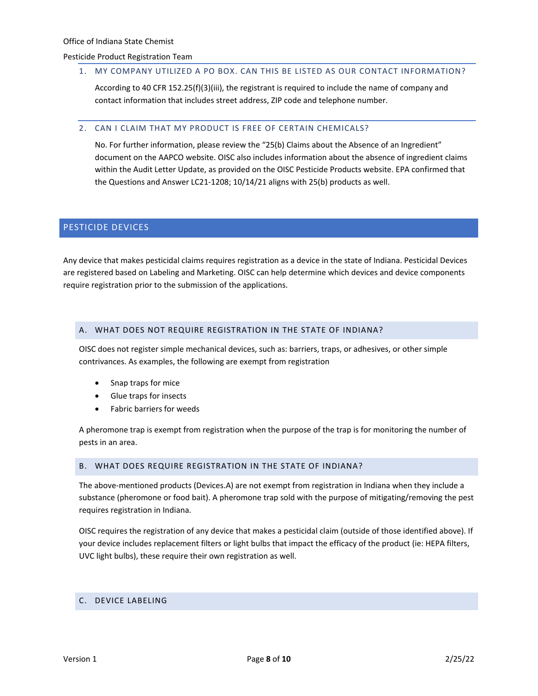<span id="page-7-0"></span>Pesticide Product Registration Team

#### 1. MY COMPANY UTILIZED A PO BOX. CAN THIS BE LISTED AS OUR CONTACT INFORMATION?

According to 40 CFR 152.25(f)(3)(iii), the registrant is required to include the name of company and contact information that includes street address, ZIP code and telephone number.

### <span id="page-7-1"></span>2. CAN I CLAIM THAT MY PRODUCT IS FREE OF CERTAIN CHEMICALS?

No. For further information, please review the "25(b) Claims about the Absence of an Ingredient" document on the AAPCO website. OISC also includes information about the absence of ingredient claims within the Audit Letter Update, as provided on the OISC Pesticide Products website. EPA confirmed that the Questions and Answer LC21-1208; 10/14/21 aligns with 25(b) products as well.

# <span id="page-7-2"></span>PESTICIDE DEVICES

Any device that makes pesticidal claims requires registration as a device in the state of Indiana. Pesticidal Devices are registered based on Labeling and Marketing. OISC can help determine which devices and device components require registration prior to the submission of the applications.

### <span id="page-7-3"></span>A. WHAT DOES NOT REQUIRE REGISTRATION IN THE STATE OF INDIANA?

OISC does not register simple mechanical devices, such as: barriers, traps, or adhesives, or other simple contrivances. As examples, the following are exempt from registration

- Snap traps for mice
- Glue traps for insects
- Fabric barriers for weeds

A pheromone trap is exempt from registration when the purpose of the trap is for monitoring the number of pests in an area.

#### <span id="page-7-4"></span>B. WHAT DOES REQUIRE REGISTRATION IN THE STATE OF INDIANA?

The above-mentioned products (Devices.A) are not exempt from registration in Indiana when they include a substance (pheromone or food bait). A pheromone trap sold with the purpose of mitigating/removing the pest requires registration in Indiana.

OISC requires the registration of any device that makes a pesticidal claim (outside of those identified above). If your device includes replacement filters or light bulbs that impact the efficacy of the product (ie: HEPA filters, UVC light bulbs), these require their own registration as well.

### <span id="page-7-5"></span>C. DEVICE LABELING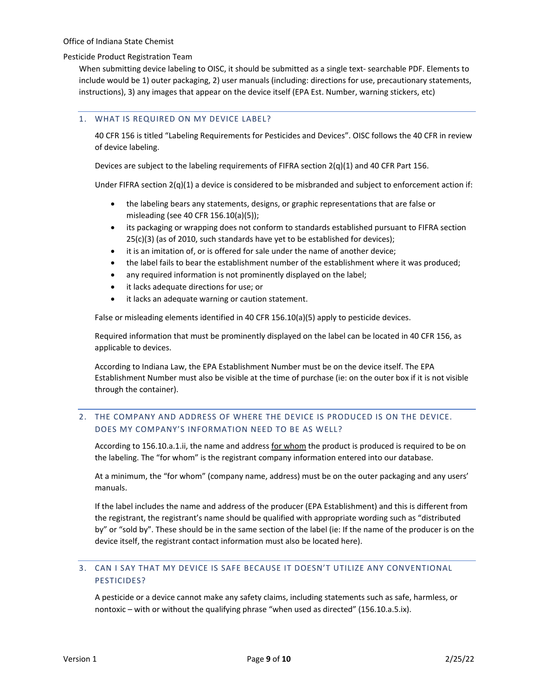Pesticide Product Registration Team

When submitting device labeling to OISC, it should be submitted as a single text- searchable PDF. Elements to include would be 1) outer packaging, 2) user manuals (including: directions for use, precautionary statements, instructions), 3) any images that appear on the device itself (EPA Est. Number, warning stickers, etc)

### <span id="page-8-0"></span>1. WHAT IS REQUIRED ON MY DEVICE LABEL?

40 CFR 156 is titled "Labeling Requirements for Pesticides and Devices". OISC follows the 40 CFR in review of device labeling.

Devices are subject to the labeling requirements of FIFRA section  $2(q)(1)$  and 40 CFR Part 156.

Under FIFRA section 2(q)(1) a device is considered to be misbranded and subject to enforcement action if:

- the labeling bears any statements, designs, or graphic representations that are false or misleading (see 40 CFR 156.10(a)(5));
- its packaging or wrapping does not conform to standards established pursuant to FIFRA section 25(c)(3) (as of 2010, such standards have yet to be established for devices);
- it is an imitation of, or is offered for sale under the name of another device;
- the label fails to bear the establishment number of the establishment where it was produced;
- any required information is not prominently displayed on the label;
- it lacks adequate directions for use; or
- it lacks an adequate warning or caution statement.

False or misleading elements identified in 40 CFR 156.10(a)(5) apply to pesticide devices.

Required information that must be prominently displayed on the label can be located in 40 CFR 156, as applicable to devices.

According to Indiana Law, the EPA Establishment Number must be on the device itself. The EPA Establishment Number must also be visible at the time of purchase (ie: on the outer box if it is not visible through the container).

# <span id="page-8-1"></span>2. THE COMPANY AND ADDRESS OF WHERE THE DEVICE IS PRODUCED IS ON THE DEVICE. DOES MY COMPANY'S INFORMATION NEED TO BE AS WELL?

According to 156.10.a.1.ii, the name and address for whom the product is produced is required to be on the labeling. The "for whom" is the registrant company information entered into our database.

At a minimum, the "for whom" (company name, address) must be on the outer packaging and any users' manuals.

If the label includes the name and address of the producer (EPA Establishment) and this is different from the registrant, the registrant's name should be qualified with appropriate wording such as "distributed by" or "sold by". These should be in the same section of the label (ie: If the name of the producer is on the device itself, the registrant contact information must also be located here).

# <span id="page-8-2"></span>3. CAN I SAY THAT MY DEVICE IS SAFE BECAUSE IT DOESN'T UTILIZE ANY CONVENTIONAL PESTICIDES?

A pesticide or a device cannot make any safety claims, including statements such as safe, harmless, or nontoxic – with or without the qualifying phrase "when used as directed" (156.10.a.5.ix).